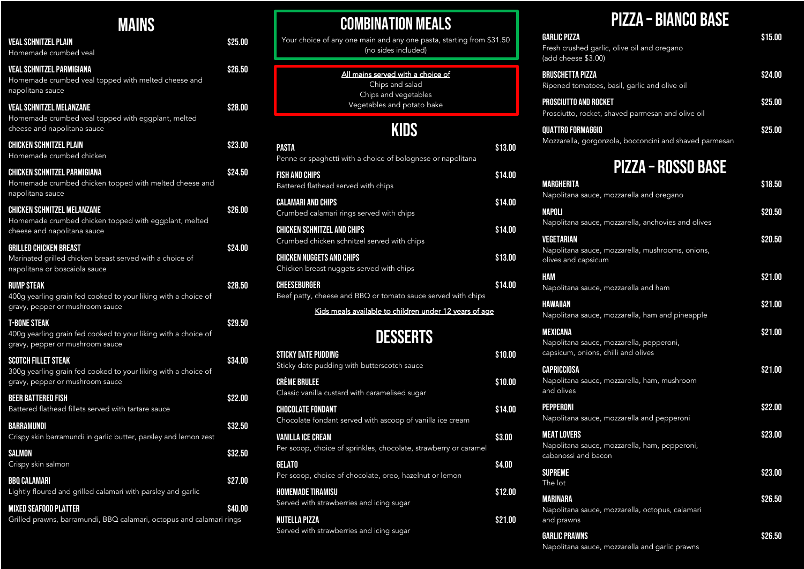# Pizza – Bianco base

| <b>GARLIC PIZZA</b><br>Fresh crushed garlic, olive oil and oregano<br>(add cheese \$3.00) | \$15.00 |
|-------------------------------------------------------------------------------------------|---------|
| <b>BRUSCHETTA PIZZA</b><br>Ripened tomatoes, basil, garlic and olive oil                  | \$24.00 |
| <b>PROSCIUTTO AND ROCKET</b><br>Prosciutto, rocket, shaved parmesan and olive oil         | \$25.00 |
| <b>QUATTRO FORMAGGIO</b>                                                                  | \$25.00 |

gorgonzola, bocconcini and shaved parmesan

# Pizza – Rosso base

| Margherita                                                                                  | \$18.50 |
|---------------------------------------------------------------------------------------------|---------|
| Napolitana sauce, mozzarella and oregano                                                    |         |
| NAPOLI<br>Napolitana sauce, mozzarella, anchovies and olives                                | \$20.50 |
| VEGETARIAN<br>Napolitana sauce, mozzarella, mushrooms, onions,<br>olives and capsicum       | \$20.50 |
| HAM<br>Napolitana sauce, mozzarella and ham                                                 | \$21.00 |
| HAWAIIAN<br>Napolitana sauce, mozzarella, ham and pineapple                                 | \$21.00 |
| MEXICANA<br>Napolitana sauce, mozzarella, pepperoni,<br>capsicum, onions, chilli and olives | \$21.00 |
| CAPRICCIOSA<br>Napolitana sauce, mozzarella, ham, mushroom<br>and olives                    | \$21.00 |
| PEPPERONI<br>Napolitana sauce, mozzarella and pepperoni                                     | \$22.00 |
| <b>MEAT LOVERS</b><br>Napolitana sauce, mozzarella, ham, pepperoni,<br>cabanossi and bacon  | \$23.00 |
| <b>SUPREME</b><br>The lot                                                                   | \$23.00 |
| MARINARA<br>Napolitana sauce, mozzarella, octopus, calamari<br>and prawns                   | \$26.50 |
| <b>GARLIC PRAWNS</b>                                                                        | \$26.50 |

Napolitana sauce, mozzarella and garlic prawns

| <b>MAINS</b>                                                                                                                                                         |         | <b>COMBINATION MEALS</b>                                                                     |                    |                                                                     |
|----------------------------------------------------------------------------------------------------------------------------------------------------------------------|---------|----------------------------------------------------------------------------------------------|--------------------|---------------------------------------------------------------------|
| <b>VEAL SCHNITZEL PLAIN</b><br>Homemade crumbed veal                                                                                                                 | \$25.00 | Your choice of any one main and any one pasta, starting from \$31.50<br>(no sides included)  |                    | <b>GARLIC PIZZA</b><br>Fresh crushed garlic,<br>(add cheese \$3.00) |
| <b>VEAL SCHNITZEL PARMIGIANA</b><br>Homemade crumbed veal topped with melted cheese and<br>napolitana sauce                                                          | \$26.50 | All mains served with a choice of<br>Chips and salad<br>Chips and vegetables                 |                    | <b>BRUSCHETTA PIZZA</b><br>Ripened tomatoes, b                      |
| <b>VEAL SCHNITZEL MELANZANE</b><br>Homemade crumbed veal topped with eggplant, melted<br>cheese and napolitana sauce                                                 | \$28.00 | Vegetables and potato bake                                                                   |                    | <b>PROSCIUTTO AND ROCKET</b><br>Prosciutto, rocket, sh              |
| <b>CHICKEN SCHNITZEL PLAIN</b><br>Homemade crumbed chicken                                                                                                           | \$23.00 | <b>KIDS</b><br><b>PASTA</b><br>Penne or spaghetti with a choice of bolognese or napolitana   | \$13.00            | <b>QUATTRO FORMAGGIO</b><br>Mozzarella, gorgonzo                    |
| <b>CHICKEN SCHNITZEL PARMIGIANA</b><br>Homemade crumbed chicken topped with melted cheese and                                                                        | \$24.50 | <b>FISH AND CHIPS</b><br>Battered flathead served with chips                                 | \$14.00            | <b>MARGHERITA</b>                                                   |
| napolitana sauce<br><b>CHICKEN SCHNITZEL MELANZANE</b><br>Homemade crumbed chicken topped with eggplant, melted                                                      | \$26.00 | <b>CALAMARI AND CHIPS</b><br>Crumbed calamari rings served with chips                        | \$14.00            | Napolitana sauce, mo<br><b>NAPOLI</b>                               |
| cheese and napolitana sauce<br><b>GRILLED CHICKEN BREAST</b>                                                                                                         | \$24.00 | <b>CHICKEN SCHNITZEL AND CHIPS</b><br>Crumbed chicken schnitzel served with chips            | \$14.00            | Napolitana sauce, mo<br><b>VEGETARIAN</b><br>Napolitana sauce, mo   |
| Marinated grilled chicken breast served with a choice of<br>napolitana or boscaiola sauce                                                                            |         | <b>CHICKEN NUGGETS AND CHIPS</b><br>Chicken breast nuggets served with chips                 | \$13.00            | olives and capsicum<br><b>HAM</b>                                   |
| <b>RUMP STEAK</b><br>400g yearling grain fed cooked to your liking with a choice of<br>gravy, pepper or mushroom sauce                                               | \$28.50 | <b>CHEESEBURGER</b><br>Beef patty, cheese and BBQ or tomato sauce served with chips          | \$14.00            | Napolitana sauce, mo<br><b>HAWAIIAN</b>                             |
| <b>T-BONE STEAK</b><br>400g yearling grain fed cooked to your liking with a choice of<br>gravy, pepper or mushroom sauce                                             | \$29.50 | Kids meals available to children under 12 years of age<br><b>DESSERTS</b>                    |                    | Napolitana sauce, me<br><b>MEXICANA</b><br>Napolitana sauce, mo     |
| <b>SCOTCH FILLET STEAK</b><br>300g yearling grain fed cooked to your liking with a choice of                                                                         | \$34.00 | <b>STICKY DATE PUDDING</b><br>Sticky date pudding with butterscotch sauce                    | \$10.00            | capsicum, onions, ch<br><b>CAPRICCIOSA</b>                          |
| gravy, pepper or mushroom sauce<br><b>BEER BATTERED FISH</b>                                                                                                         | \$22.00 | <b>CRÈME BRULEE</b><br>Classic vanilla custard with caramelised sugar                        | \$10.00            | Napolitana sauce, mo<br>and olives                                  |
| Battered flathead fillets served with tartare sauce<br>BARRAMUNDI                                                                                                    | \$32.50 | <b>CHOCOLATE FONDANT</b><br>Chocolate fondant served with ascoop of vanilla ice cream        | \$14.00            | <b>PEPPERONI</b><br>Napolitana sauce, mo<br><b>MEAT LOVERS</b>      |
| Crispy skin barramundi in garlic butter, parsley and lemon zest<br><b>SALMON</b>                                                                                     | \$32.50 | <b>VANILLA ICE CREAM</b><br>Per scoop, choice of sprinkles, chocolate, strawberry or caramel | \$3.00             | Napolitana sauce, mo<br>cabanossi and bacon                         |
| Crispy skin salmon<br><b>BBQ CALAMARI</b>                                                                                                                            | \$27.00 | <b>GELATO</b><br>Per scoop, choice of chocolate, oreo, hazelnut or lemon                     | \$4.00             | <b>SUPREME</b><br>The lot                                           |
| Lightly floured and grilled calamari with parsley and garlic<br><b>MIXED SEAFOOD PLATTER</b><br>Grilled prawns, barramundi, BBQ calamari, octopus and calamari rings | \$40.00 | <b>HOMEMADE TIRAMISU</b><br>Served with strawberries and icing sugar<br><b>NUTELLA PIZZA</b> | \$12.00<br>\$21.00 | <b>MARINARA</b><br>Napolitana sauce, mo                             |
|                                                                                                                                                                      |         | Served with strawberries and icing sugar                                                     |                    | and prawns<br><b>GARLIC PRAWNS</b>                                  |